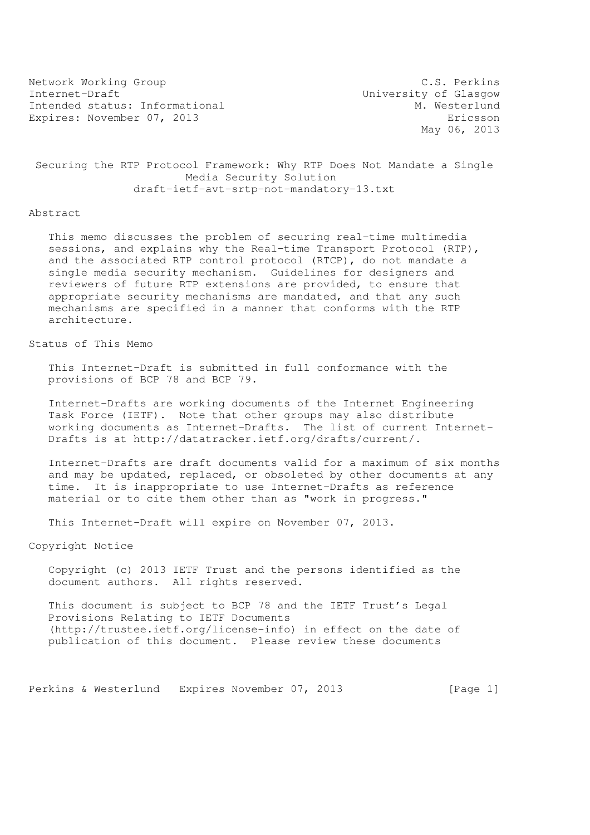Network Working Group C.S. Perkins Internet-Draft University of Glasgow Intended status: Informational Expires: November 07, 2013 Expires: November 07, 2013

May 06, 2013

 Securing the RTP Protocol Framework: Why RTP Does Not Mandate a Single Media Security Solution draft-ietf-avt-srtp-not-mandatory-13.txt

#### Abstract

 This memo discusses the problem of securing real-time multimedia sessions, and explains why the Real-time Transport Protocol (RTP), and the associated RTP control protocol (RTCP), do not mandate a single media security mechanism. Guidelines for designers and reviewers of future RTP extensions are provided, to ensure that appropriate security mechanisms are mandated, and that any such mechanisms are specified in a manner that conforms with the RTP architecture.

# Status of This Memo

 This Internet-Draft is submitted in full conformance with the provisions of BCP 78 and BCP 79.

 Internet-Drafts are working documents of the Internet Engineering Task Force (IETF). Note that other groups may also distribute working documents as Internet-Drafts. The list of current Internet- Drafts is at http://datatracker.ietf.org/drafts/current/.

 Internet-Drafts are draft documents valid for a maximum of six months and may be updated, replaced, or obsoleted by other documents at any time. It is inappropriate to use Internet-Drafts as reference material or to cite them other than as "work in progress."

This Internet-Draft will expire on November 07, 2013.

Copyright Notice

 Copyright (c) 2013 IETF Trust and the persons identified as the document authors. All rights reserved.

 This document is subject to BCP 78 and the IETF Trust's Legal Provisions Relating to IETF Documents (http://trustee.ietf.org/license-info) in effect on the date of publication of this document. Please review these documents

Perkins & Westerlund Expires November 07, 2013 [Page 1]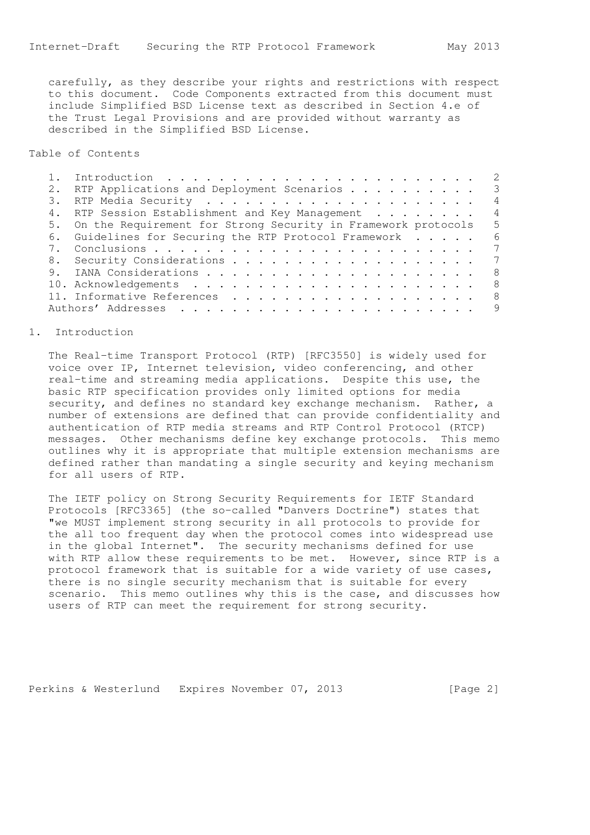carefully, as they describe your rights and restrictions with respect to this document. Code Components extracted from this document must include Simplified BSD License text as described in Section 4.e of the Trust Legal Provisions and are provided without warranty as described in the Simplified BSD License.

# Table of Contents

| 2. | RTP Applications and Deployment Scenarios<br>$\overline{\phantom{a}}$ 3 |
|----|-------------------------------------------------------------------------|
|    |                                                                         |
|    | 4. RTP Session Establishment and Key Management                         |
|    | 5. On the Requirement for Strong Security in Framework protocols        |
|    | 6. Guidelines for Securing the RTP Protocol Framework                   |
|    |                                                                         |
|    |                                                                         |
|    | - 8                                                                     |
|    |                                                                         |
|    | - 8                                                                     |
|    |                                                                         |

### 1. Introduction

 The Real-time Transport Protocol (RTP) [RFC3550] is widely used for voice over IP, Internet television, video conferencing, and other real-time and streaming media applications. Despite this use, the basic RTP specification provides only limited options for media security, and defines no standard key exchange mechanism. Rather, a number of extensions are defined that can provide confidentiality and authentication of RTP media streams and RTP Control Protocol (RTCP) messages. Other mechanisms define key exchange protocols. This memo outlines why it is appropriate that multiple extension mechanisms are defined rather than mandating a single security and keying mechanism for all users of RTP.

 The IETF policy on Strong Security Requirements for IETF Standard Protocols [RFC3365] (the so-called "Danvers Doctrine") states that "we MUST implement strong security in all protocols to provide for the all too frequent day when the protocol comes into widespread use in the global Internet". The security mechanisms defined for use with RTP allow these requirements to be met. However, since RTP is a protocol framework that is suitable for a wide variety of use cases, there is no single security mechanism that is suitable for every scenario. This memo outlines why this is the case, and discusses how users of RTP can meet the requirement for strong security.

Perkins & Westerlund Expires November 07, 2013 [Page 2]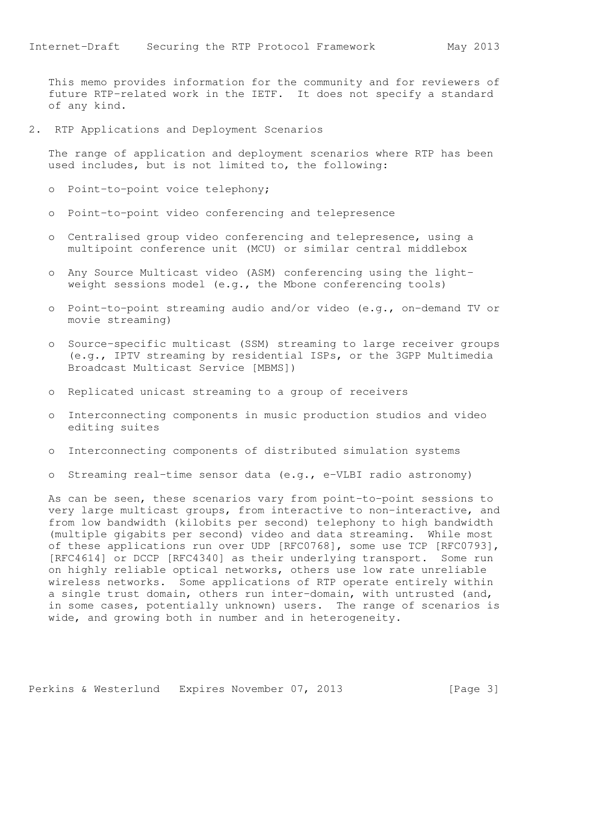This memo provides information for the community and for reviewers of future RTP-related work in the IETF. It does not specify a standard of any kind.

2. RTP Applications and Deployment Scenarios

 The range of application and deployment scenarios where RTP has been used includes, but is not limited to, the following:

- o Point-to-point voice telephony;
- o Point-to-point video conferencing and telepresence
- o Centralised group video conferencing and telepresence, using a multipoint conference unit (MCU) or similar central middlebox
- o Any Source Multicast video (ASM) conferencing using the light weight sessions model (e.g., the Mbone conferencing tools)
- o Point-to-point streaming audio and/or video (e.g., on-demand TV or movie streaming)
- o Source-specific multicast (SSM) streaming to large receiver groups (e.g., IPTV streaming by residential ISPs, or the 3GPP Multimedia Broadcast Multicast Service [MBMS])
- o Replicated unicast streaming to a group of receivers
- o Interconnecting components in music production studios and video editing suites
- o Interconnecting components of distributed simulation systems
- o Streaming real-time sensor data (e.g., e-VLBI radio astronomy)

 As can be seen, these scenarios vary from point-to-point sessions to very large multicast groups, from interactive to non-interactive, and from low bandwidth (kilobits per second) telephony to high bandwidth (multiple gigabits per second) video and data streaming. While most of these applications run over UDP [RFC0768], some use TCP [RFC0793], [RFC4614] or DCCP [RFC4340] as their underlying transport. Some run on highly reliable optical networks, others use low rate unreliable wireless networks. Some applications of RTP operate entirely within a single trust domain, others run inter-domain, with untrusted (and, in some cases, potentially unknown) users. The range of scenarios is wide, and growing both in number and in heterogeneity.

Perkins & Westerlund Expires November 07, 2013 [Page 3]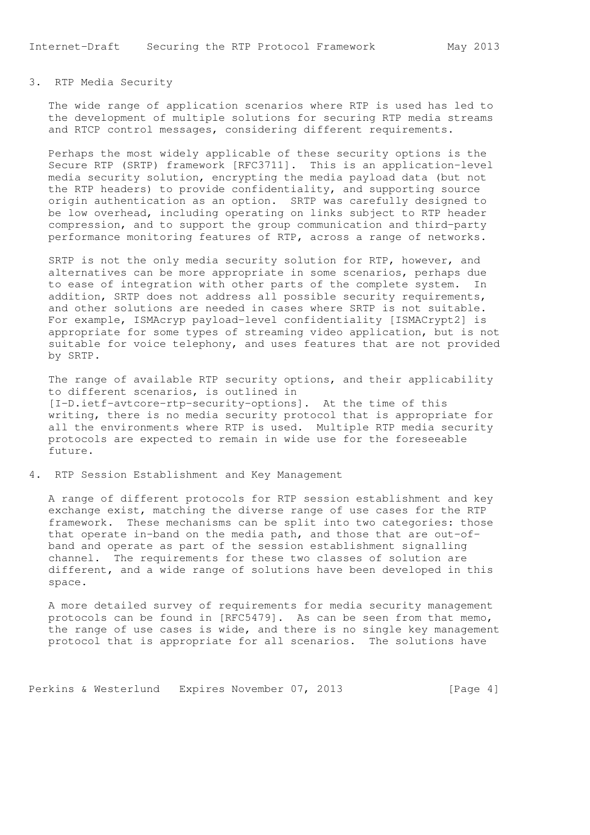# 3. RTP Media Security

 The wide range of application scenarios where RTP is used has led to the development of multiple solutions for securing RTP media streams and RTCP control messages, considering different requirements.

 Perhaps the most widely applicable of these security options is the Secure RTP (SRTP) framework [RFC3711]. This is an application-level media security solution, encrypting the media payload data (but not the RTP headers) to provide confidentiality, and supporting source origin authentication as an option. SRTP was carefully designed to be low overhead, including operating on links subject to RTP header compression, and to support the group communication and third-party performance monitoring features of RTP, across a range of networks.

 SRTP is not the only media security solution for RTP, however, and alternatives can be more appropriate in some scenarios, perhaps due to ease of integration with other parts of the complete system. In addition, SRTP does not address all possible security requirements, and other solutions are needed in cases where SRTP is not suitable. For example, ISMAcryp payload-level confidentiality [ISMACrypt2] is appropriate for some types of streaming video application, but is not suitable for voice telephony, and uses features that are not provided by SRTP.

 The range of available RTP security options, and their applicability to different scenarios, is outlined in [I-D.ietf-avtcore-rtp-security-options]. At the time of this writing, there is no media security protocol that is appropriate for all the environments where RTP is used. Multiple RTP media security protocols are expected to remain in wide use for the foreseeable future.

4. RTP Session Establishment and Key Management

 A range of different protocols for RTP session establishment and key exchange exist, matching the diverse range of use cases for the RTP framework. These mechanisms can be split into two categories: those that operate in-band on the media path, and those that are out-of band and operate as part of the session establishment signalling channel. The requirements for these two classes of solution are different, and a wide range of solutions have been developed in this space.

 A more detailed survey of requirements for media security management protocols can be found in [RFC5479]. As can be seen from that memo, the range of use cases is wide, and there is no single key management protocol that is appropriate for all scenarios. The solutions have

Perkins & Westerlund Expires November 07, 2013 [Page 4]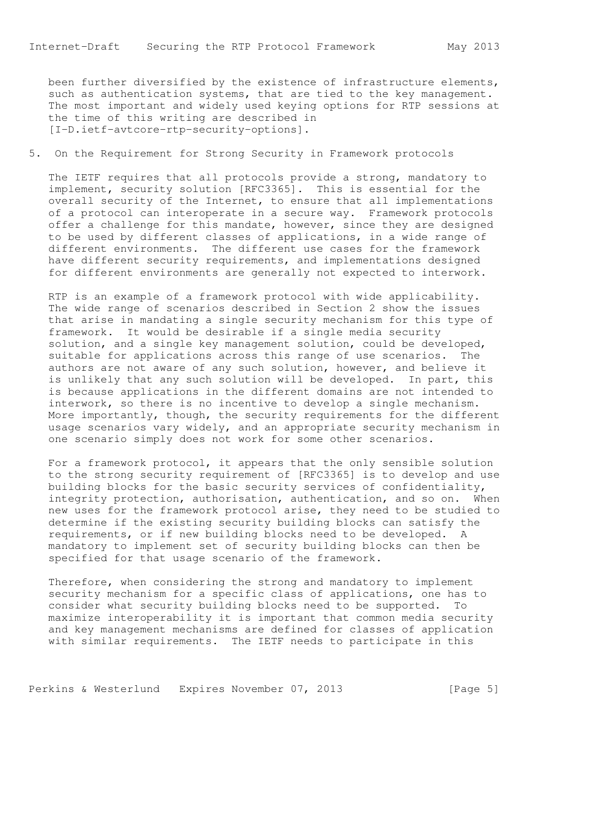been further diversified by the existence of infrastructure elements, such as authentication systems, that are tied to the key management. The most important and widely used keying options for RTP sessions at the time of this writing are described in [I-D.ietf-avtcore-rtp-security-options].

# 5. On the Requirement for Strong Security in Framework protocols

 The IETF requires that all protocols provide a strong, mandatory to implement, security solution [RFC3365]. This is essential for the overall security of the Internet, to ensure that all implementations of a protocol can interoperate in a secure way. Framework protocols offer a challenge for this mandate, however, since they are designed to be used by different classes of applications, in a wide range of different environments. The different use cases for the framework have different security requirements, and implementations designed for different environments are generally not expected to interwork.

 RTP is an example of a framework protocol with wide applicability. The wide range of scenarios described in Section 2 show the issues that arise in mandating a single security mechanism for this type of framework. It would be desirable if a single media security solution, and a single key management solution, could be developed, suitable for applications across this range of use scenarios. The authors are not aware of any such solution, however, and believe it is unlikely that any such solution will be developed. In part, this is because applications in the different domains are not intended to interwork, so there is no incentive to develop a single mechanism. More importantly, though, the security requirements for the different usage scenarios vary widely, and an appropriate security mechanism in one scenario simply does not work for some other scenarios.

 For a framework protocol, it appears that the only sensible solution to the strong security requirement of [RFC3365] is to develop and use building blocks for the basic security services of confidentiality, integrity protection, authorisation, authentication, and so on. When new uses for the framework protocol arise, they need to be studied to determine if the existing security building blocks can satisfy the requirements, or if new building blocks need to be developed. A mandatory to implement set of security building blocks can then be specified for that usage scenario of the framework.

 Therefore, when considering the strong and mandatory to implement security mechanism for a specific class of applications, one has to consider what security building blocks need to be supported. To maximize interoperability it is important that common media security and key management mechanisms are defined for classes of application with similar requirements. The IETF needs to participate in this

Perkins & Westerlund Expires November 07, 2013 [Page 5]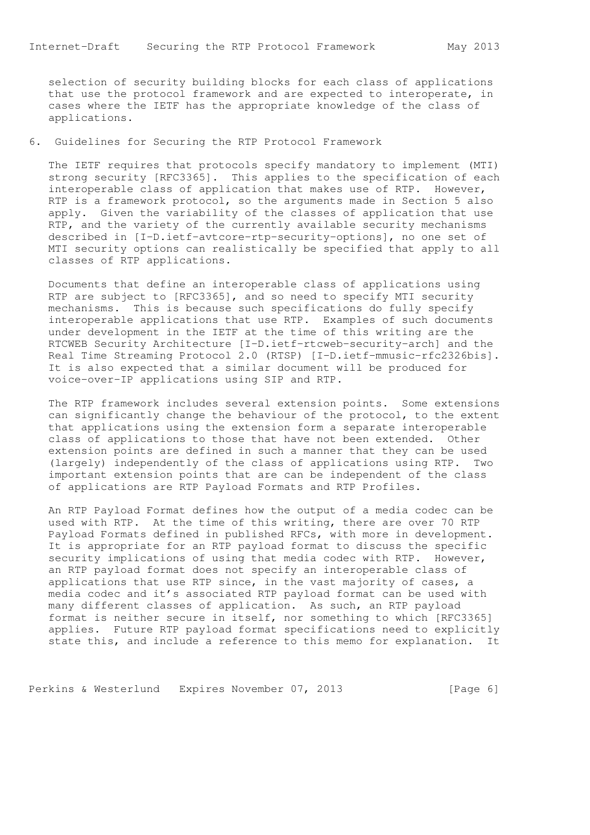selection of security building blocks for each class of applications that use the protocol framework and are expected to interoperate, in cases where the IETF has the appropriate knowledge of the class of applications.

## 6. Guidelines for Securing the RTP Protocol Framework

 The IETF requires that protocols specify mandatory to implement (MTI) strong security [RFC3365]. This applies to the specification of each interoperable class of application that makes use of RTP. However, RTP is a framework protocol, so the arguments made in Section 5 also apply. Given the variability of the classes of application that use RTP, and the variety of the currently available security mechanisms described in [I-D.ietf-avtcore-rtp-security-options], no one set of MTI security options can realistically be specified that apply to all classes of RTP applications.

 Documents that define an interoperable class of applications using RTP are subject to [RFC3365], and so need to specify MTI security mechanisms. This is because such specifications do fully specify interoperable applications that use RTP. Examples of such documents under development in the IETF at the time of this writing are the RTCWEB Security Architecture [I-D.ietf-rtcweb-security-arch] and the Real Time Streaming Protocol 2.0 (RTSP) [I-D.ietf-mmusic-rfc2326bis]. It is also expected that a similar document will be produced for voice-over-IP applications using SIP and RTP.

 The RTP framework includes several extension points. Some extensions can significantly change the behaviour of the protocol, to the extent that applications using the extension form a separate interoperable class of applications to those that have not been extended. Other extension points are defined in such a manner that they can be used (largely) independently of the class of applications using RTP. Two important extension points that are can be independent of the class of applications are RTP Payload Formats and RTP Profiles.

 An RTP Payload Format defines how the output of a media codec can be used with RTP. At the time of this writing, there are over 70 RTP Payload Formats defined in published RFCs, with more in development. It is appropriate for an RTP payload format to discuss the specific security implications of using that media codec with RTP. However, an RTP payload format does not specify an interoperable class of applications that use RTP since, in the vast majority of cases, a media codec and it's associated RTP payload format can be used with many different classes of application. As such, an RTP payload format is neither secure in itself, nor something to which [RFC3365] applies. Future RTP payload format specifications need to explicitly state this, and include a reference to this memo for explanation. It

Perkins & Westerlund Expires November 07, 2013 [Page 6]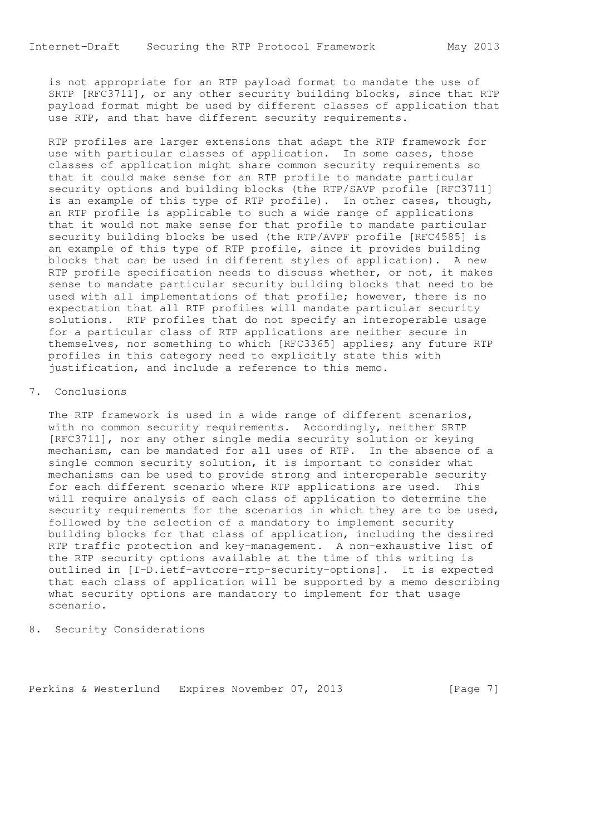is not appropriate for an RTP payload format to mandate the use of SRTP [RFC3711], or any other security building blocks, since that RTP payload format might be used by different classes of application that use RTP, and that have different security requirements.

 RTP profiles are larger extensions that adapt the RTP framework for use with particular classes of application. In some cases, those classes of application might share common security requirements so that it could make sense for an RTP profile to mandate particular security options and building blocks (the RTP/SAVP profile [RFC3711] is an example of this type of RTP profile). In other cases, though, an RTP profile is applicable to such a wide range of applications that it would not make sense for that profile to mandate particular security building blocks be used (the RTP/AVPF profile [RFC4585] is an example of this type of RTP profile, since it provides building blocks that can be used in different styles of application). A new RTP profile specification needs to discuss whether, or not, it makes sense to mandate particular security building blocks that need to be used with all implementations of that profile; however, there is no expectation that all RTP profiles will mandate particular security solutions. RTP profiles that do not specify an interoperable usage for a particular class of RTP applications are neither secure in themselves, nor something to which [RFC3365] applies; any future RTP profiles in this category need to explicitly state this with justification, and include a reference to this memo.

#### 7. Conclusions

 The RTP framework is used in a wide range of different scenarios, with no common security requirements. Accordingly, neither SRTP [RFC3711], nor any other single media security solution or keying mechanism, can be mandated for all uses of RTP. In the absence of a single common security solution, it is important to consider what mechanisms can be used to provide strong and interoperable security for each different scenario where RTP applications are used. This will require analysis of each class of application to determine the security requirements for the scenarios in which they are to be used, followed by the selection of a mandatory to implement security building blocks for that class of application, including the desired RTP traffic protection and key-management. A non-exhaustive list of the RTP security options available at the time of this writing is outlined in [I-D.ietf-avtcore-rtp-security-options]. It is expected that each class of application will be supported by a memo describing what security options are mandatory to implement for that usage scenario.

8. Security Considerations

Perkins & Westerlund Expires November 07, 2013 [Page 7]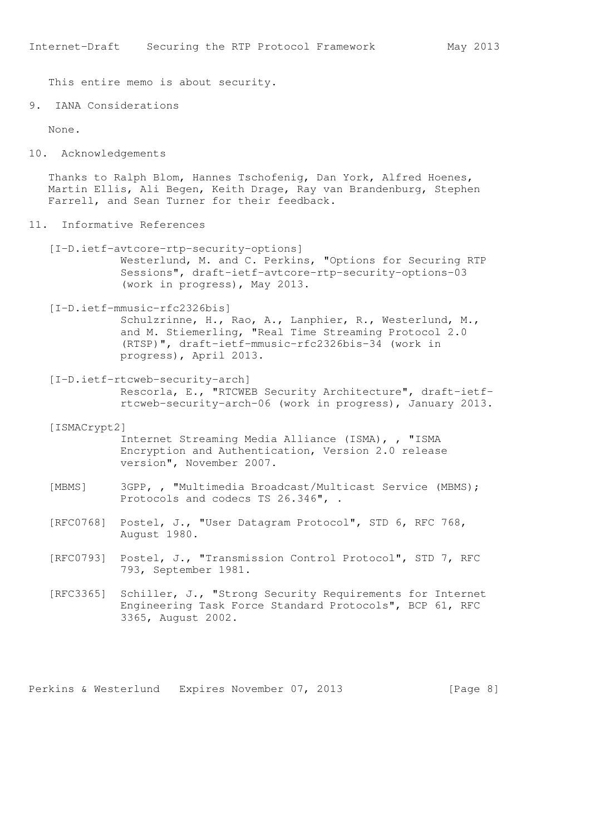This entire memo is about security.

9. IANA Considerations

None.

10. Acknowledgements

 Thanks to Ralph Blom, Hannes Tschofenig, Dan York, Alfred Hoenes, Martin Ellis, Ali Begen, Keith Drage, Ray van Brandenburg, Stephen Farrell, and Sean Turner for their feedback.

- 11. Informative References
	- [I-D.ietf-avtcore-rtp-security-options] Westerlund, M. and C. Perkins, "Options for Securing RTP Sessions", draft-ietf-avtcore-rtp-security-options-03 (work in progress), May 2013.
	- [I-D.ietf-mmusic-rfc2326bis] Schulzrinne, H., Rao, A., Lanphier, R., Westerlund, M., and M. Stiemerling, "Real Time Streaming Protocol 2.0 (RTSP)", draft-ietf-mmusic-rfc2326bis-34 (work in progress), April 2013.
	- [I-D.ietf-rtcweb-security-arch] Rescorla, E., "RTCWEB Security Architecture", draft-ietf rtcweb-security-arch-06 (work in progress), January 2013.
	- [ISMACrypt2]

 Internet Streaming Media Alliance (ISMA), , "ISMA Encryption and Authentication, Version 2.0 release version", November 2007.

- [MBMS] 3GPP, , "Multimedia Broadcast/Multicast Service (MBMS); Protocols and codecs TS 26.346", .
- [RFC0768] Postel, J., "User Datagram Protocol", STD 6, RFC 768, August 1980.
- [RFC0793] Postel, J., "Transmission Control Protocol", STD 7, RFC 793, September 1981.
- [RFC3365] Schiller, J., "Strong Security Requirements for Internet Engineering Task Force Standard Protocols", BCP 61, RFC 3365, August 2002.

Perkins & Westerlund Expires November 07, 2013 [Page 8]